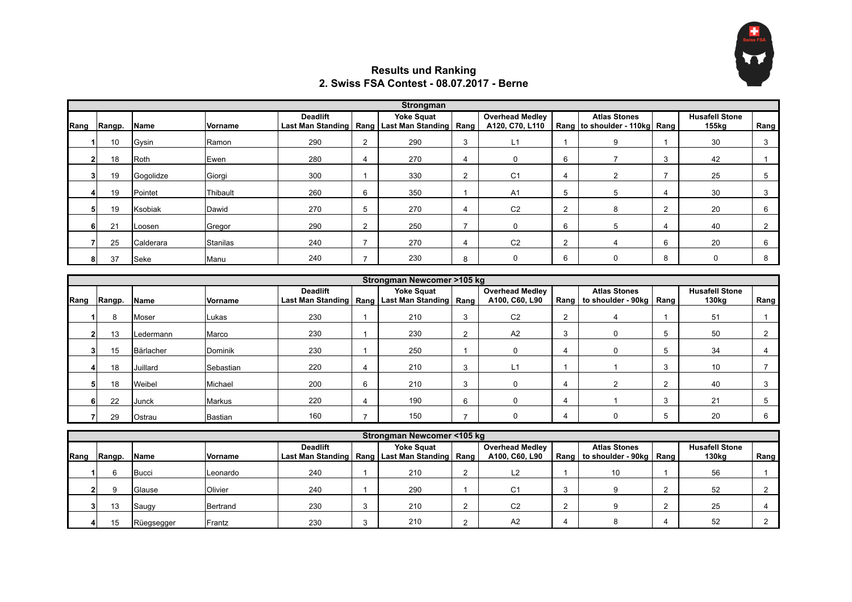

## **Results und Ranking 2. Swiss FSA Contest - 08.07.2017 - Berne**

|      | <b>Strongman</b> |             |                |                 |                |                                                                          |                |                                           |                |                                                      |   |                                |                |
|------|------------------|-------------|----------------|-----------------|----------------|--------------------------------------------------------------------------|----------------|-------------------------------------------|----------------|------------------------------------------------------|---|--------------------------------|----------------|
| Rang | Rangp.           | <b>Name</b> | <b>Vorname</b> | <b>Deadlift</b> |                | <b>Yoke Squat</b><br>Last Man Standing   Rang   Last Man Standing   Rang |                | <b>Overhead Medley</b><br>A120, C70, L110 |                | <b>Atlas Stones</b><br>Rang to shoulder - 110kg Rang |   | <b>Husafell Stone</b><br>155kg | Rang           |
|      | 10               | Gysin       | Ramon          | 290             | $\overline{2}$ | 290                                                                      | 3              | L1                                        |                | 9                                                    |   | 30                             | 3              |
|      | 18               | Roth        | Ewen           | 280             | 4              | 270                                                                      | 4              | 0                                         | 6              |                                                      | 3 | 42                             |                |
|      | 19               | Gogolidze   | Giorgi         | 300             |                | 330                                                                      | $\overline{2}$ | C <sub>1</sub>                            | -4             |                                                      |   | 25                             | 5              |
|      | 19               | Pointet     | Thibault       | 260             | 6              | 350                                                                      |                | A <sub>1</sub>                            | 5              | 5                                                    |   | 30                             | 3              |
|      | 19               | Ksobiak     | Dawid          | 270             | 5              | 270                                                                      | 4              | C <sub>2</sub>                            | $\overline{2}$ | 8                                                    | ◠ | 20                             | 6              |
|      | 21               | Loosen      | Gregor         | 290             | 2              | 250                                                                      |                | 0                                         | 6              | 5                                                    |   | 40                             | $\overline{2}$ |
|      | 25               | Calderara   | Stanilas       | 240             |                | 270                                                                      | 4              | C <sub>2</sub>                            | $\overline{2}$ |                                                      | 6 | 20                             | 6              |
|      | 37               | Seke        | Manu           | 240             |                | 230                                                                      | 8              | 0                                         | 6              | $\Omega$                                             | 8 | 0                              | 8              |

|      | Strongman Newcomer >105 kg |           |                |                 |   |                                                                          |   |                                          |                |                                                         |  |                                            |      |  |
|------|----------------------------|-----------|----------------|-----------------|---|--------------------------------------------------------------------------|---|------------------------------------------|----------------|---------------------------------------------------------|--|--------------------------------------------|------|--|
| Rang | Rangp.                     | Name      | <b>Vorname</b> | <b>Deadlift</b> |   | <b>Yoke Squat</b><br>Last Man Standing   Rang   Last Man Standing   Rang |   | <b>Overhead Medley</b><br>A100, C60, L90 |                | <b>Atlas Stones</b><br>Rang   to shoulder - 90kg   Rang |  | <b>Husafell Stone</b><br>130 <sub>kg</sub> | Rang |  |
|      | 8                          | Moser     | Lukas          | 230             |   | 210                                                                      | 3 | C <sub>2</sub>                           | $\overline{2}$ |                                                         |  | 51                                         |      |  |
|      | 13                         | Ledermann | Marco          | 230             |   | 230                                                                      | 2 | A2                                       | 3              |                                                         |  | 50                                         |      |  |
|      | 15                         | Bärlacher | Dominik        | 230             |   | 250                                                                      |   |                                          | 4              |                                                         |  | 34                                         |      |  |
|      | 18                         | Juillard  | Sebastian      | 220             | 4 | 210                                                                      | 3 | L1                                       |                |                                                         |  | 10                                         |      |  |
|      | 18                         | Weibel    | Michael        | 200             | 6 | 210                                                                      | 3 | O                                        | 4              |                                                         |  | 40                                         |      |  |
|      | 22                         | Junck     | Markus         | 220             | 4 | 190                                                                      | 6 | 0                                        | 4              |                                                         |  | 21                                         |      |  |
|      | 29                         | Ostrau    | Bastian        | 160             |   | 150                                                                      |   |                                          | 4              |                                                         |  | 20                                         |      |  |

|      | Strongman Newcomer <105 kg |                |          |                 |  |                                                                          |  |                                          |    |                                                         |  |                                            |      |
|------|----------------------------|----------------|----------|-----------------|--|--------------------------------------------------------------------------|--|------------------------------------------|----|---------------------------------------------------------|--|--------------------------------------------|------|
| Rang | Rangp.                     | <b>Name</b>    | Vorname  | <b>Deadlift</b> |  | <b>Yoke Squat</b><br>Last Man Standing   Rang   Last Man Standing   Rang |  | <b>Overhead Medley</b><br>A100, C60, L90 |    | <b>Atlas Stones</b><br>Rang   to shoulder - 90kg   Rang |  | <b>Husafell Stone</b><br>130 <sub>kg</sub> | Rang |
|      |                            | <b>Bucci</b>   | Leonardo | 240             |  | 210                                                                      |  |                                          |    | 10                                                      |  | 56                                         |      |
|      |                            | <b>IGlause</b> | Olivier  | 240             |  | 290                                                                      |  | C1                                       | د. |                                                         |  | 52                                         |      |
|      | 13                         | Saugy          | Bertrand | 230             |  | 210                                                                      |  | C <sub>2</sub>                           | ∠  |                                                         |  | 25                                         |      |
|      | 15                         | Rüegsegger     | Frantz   | 230             |  | 210                                                                      |  | A2                                       |    |                                                         |  | 52                                         |      |